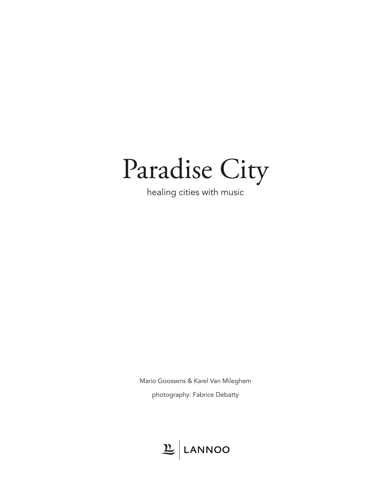## Paradise City

healing cities with music

Mario Goossens & Karel Van Mileghem

photography: Fabrice Debatty

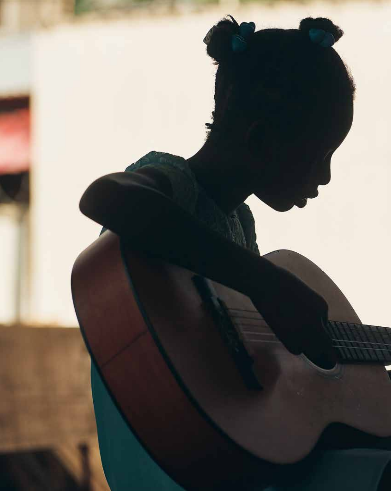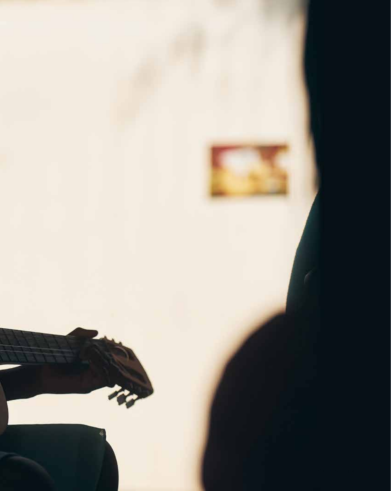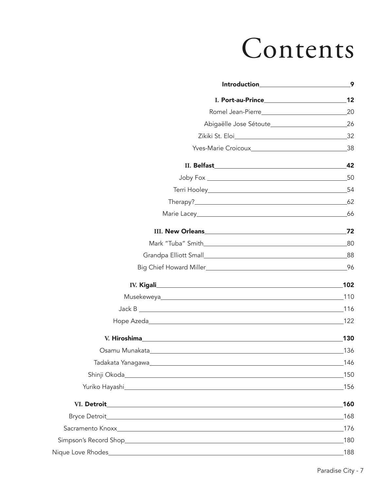### Contents

|                   | Romel Jean-Pierre                                                                                                                                                                                                                    | 20     |
|-------------------|--------------------------------------------------------------------------------------------------------------------------------------------------------------------------------------------------------------------------------------|--------|
|                   |                                                                                                                                                                                                                                      | 26     |
|                   |                                                                                                                                                                                                                                      |        |
|                   |                                                                                                                                                                                                                                      |        |
|                   |                                                                                                                                                                                                                                      |        |
|                   |                                                                                                                                                                                                                                      | .50    |
|                   |                                                                                                                                                                                                                                      |        |
|                   |                                                                                                                                                                                                                                      |        |
|                   |                                                                                                                                                                                                                                      |        |
|                   |                                                                                                                                                                                                                                      |        |
|                   |                                                                                                                                                                                                                                      |        |
|                   |                                                                                                                                                                                                                                      |        |
|                   | Big Chief Howard Miller 206                                                                                                                                                                                                          |        |
|                   |                                                                                                                                                                                                                                      | 102    |
|                   |                                                                                                                                                                                                                                      | 110    |
|                   |                                                                                                                                                                                                                                      | 116    |
|                   |                                                                                                                                                                                                                                      | $-122$ |
|                   | V. Hiroshima <u>and a compare a control of the set of the set of the set of the set of the set of the set of the set of the set of the set of the set of the set of the set of the set of the set of the set of the set of the s</u> | 130    |
|                   |                                                                                                                                                                                                                                      | 136    |
| Tadakata Yanagawa |                                                                                                                                                                                                                                      | 146    |
|                   |                                                                                                                                                                                                                                      | 150    |
|                   |                                                                                                                                                                                                                                      | 156    |
|                   |                                                                                                                                                                                                                                      | 160    |
|                   |                                                                                                                                                                                                                                      | 168    |
|                   |                                                                                                                                                                                                                                      | 176    |
|                   |                                                                                                                                                                                                                                      | 180    |
|                   |                                                                                                                                                                                                                                      | 188    |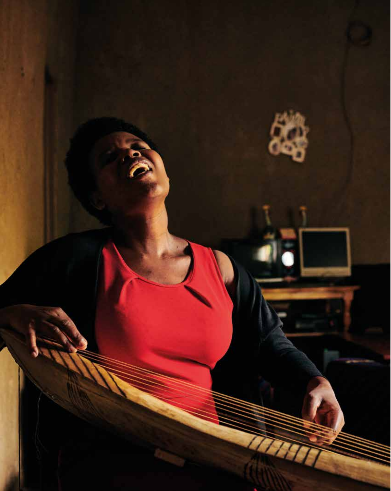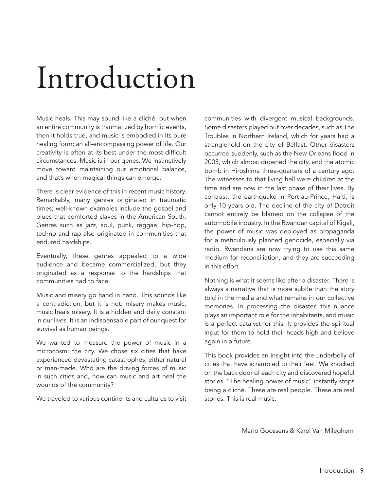# Introduction

Music heals. This may sound like a cliché, but when an entire community is traumatized by horrific events, then it holds true, and music is embodied in its pure healing form; an all-encompassing power of life. Our creativity is often at its best under the most difficult circumstances. Music is in our genes. We instinctively move toward maintaining our emotional balance, and that's when magical things can emerge.

There is clear evidence of this in recent music history. Remarkably, many genres originated in traumatic times; well-known examples include the gospel and blues that comforted slaves in the American South. Genres such as jazz, soul, punk, reggae, hip-hop, techno and rap also originated in communities that endured hardships.

Eventually, these genres appealed to a wide audience and became commercialized, but they originated as a response to the hardships that communities had to face.

Music and misery go hand in hand. This sounds like a contradiction, but it is not: misery makes music, music heals misery. It is a hidden and daily constant in our lives. It is an indispensable part of our quest for survival as human beings.

We wanted to measure the power of music in a microcosm: the city. We chose six cities that have experienced devastating catastrophes, either natural or man-made. Who are the driving forces of music in such cities and, how can music and art heal the wounds of the community?

We traveled to various continents and cultures to visit

communities with divergent musical backgrounds. Some disasters played out over decades, such as The Troubles in Northern Ireland, which for years had a stranglehold on the city of Belfast. Other disasters occurred suddenly, such as the New Orleans flood in 2005, which almost drowned the city, and the atomic bomb in Hiroshima three-quarters of a century ago. The witnesses to that living hell were children at the time and are now in the last phase of their lives. By contrast, the earthquake in Port-au-Prince, Haiti, is only 10 years old. The decline of the city of Detroit cannot entirely be blamed on the collapse of the automobile industry. In the Rwandan capital of Kigali, the power of music was deployed as propaganda for a meticulously planned genocide, especially via radio. Rwandans are now trying to use this same medium for reconciliation, and they are succeeding in this effort.

Nothing is what it seems like after a disaster. There is always a narrative that is more subtle than the story told in the media and what remains in our collective memories. In processing the disaster, this nuance plays an important role for the inhabitants, and music is a perfect catalyst for this. It provides the spiritual input for them to hold their heads high and believe again in a future.

This book provides an insight into the underbelly of cities that have scrambled to their feet. We knocked on the back door of each city and discovered hopeful stories. "The healing power of music" instantly stops being a cliché. These are real people. These are real stories. This is real music.

Mario Goossens & Karel Van Mileghem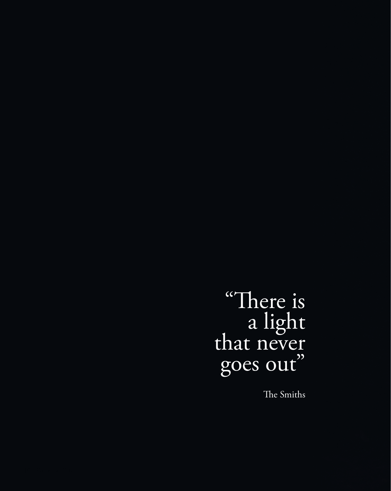"There is a light<br>that never goes out"

The Smiths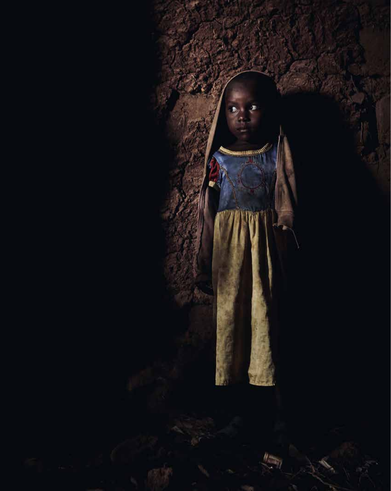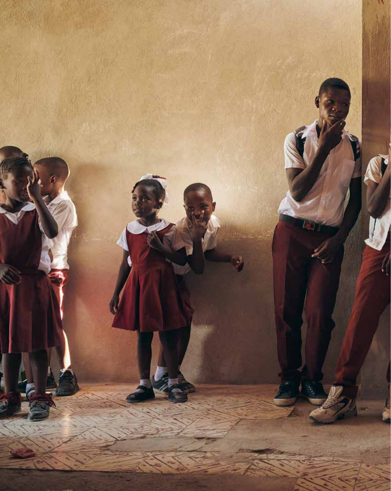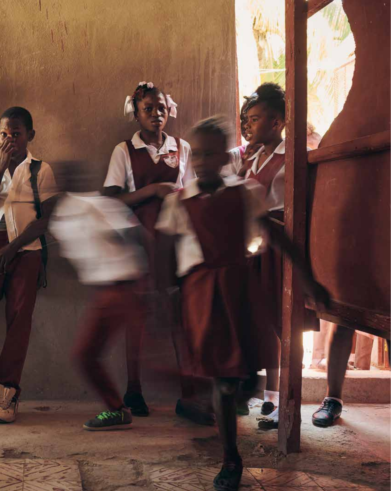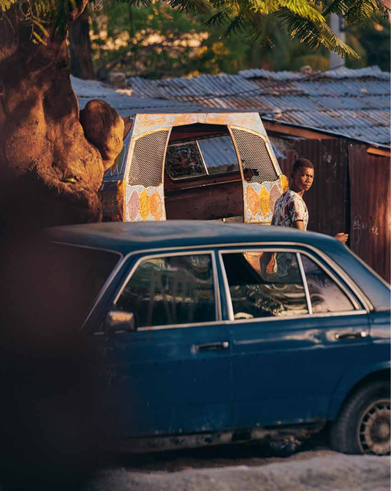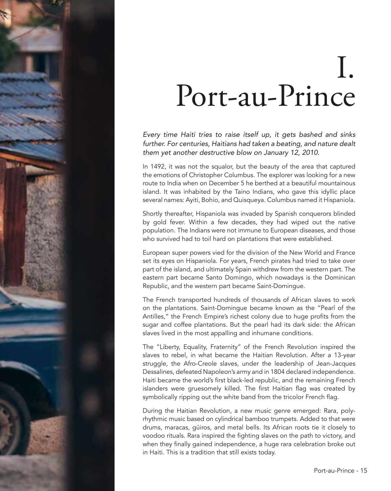# Port-au-Prince *Every time Haiti tries to raise itself up, it gets bashed and sinks further. For centuries, Haitians had taken a beating, and nature dealt*

*them yet another destructive blow on January 12, 2010.*

In 1492, it was not the squalor, but the beauty of the area that captured the emotions of Christopher Columbus. The explorer was looking for a new route to India when on December 5 he berthed at a beautiful mountainous island. It was inhabited by the Taíno Indians, who gave this idyllic place several names: Ayiti, Bohio, and Quisqueya. Columbus named it Hispaniola.

Shortly thereafter, Hispaniola was invaded by Spanish conquerors blinded by gold fever. Within a few decades, they had wiped out the native population. The Indians were not immune to European diseases, and those who survived had to toil hard on plantations that were established.

European super powers vied for the division of the New World and France set its eyes on Hispaniola. For years, French pirates had tried to take over part of the island, and ultimately Spain withdrew from the western part. The eastern part became Santo Domingo, which nowadays is the Dominican Republic, and the western part became Saint-Domingue.

The French transported hundreds of thousands of African slaves to work on the plantations. Saint-Domingue became known as the "Pearl of the Antilles," the French Empire's richest colony due to huge profits from the sugar and coffee plantations. But the pearl had its dark side: the African slaves lived in the most appalling and inhumane conditions.

The "Liberty, Equality, Fraternity" of the French Revolution inspired the slaves to rebel, in what became the Haitian Revolution. After a 13-year struggle, the Afro-Creole slaves, under the leadership of Jean-Jacques Dessalines, defeated Napoleon's army and in 1804 declared independence. Haiti became the world's first black-led republic, and the remaining French islanders were gruesomely killed. The first Haitian flag was created by symbolically ripping out the white band from the tricolor French flag.

During the Haitian Revolution, a new music genre emerged: Rara, polyrhythmic music based on cylindrical bamboo trumpets. Added to that were drums, maracas, güiros, and metal bells. Its African roots tie it closely to voodoo rituals. Rara inspired the fighting slaves on the path to victory, and when they finally gained independence, a huge rara celebration broke out in Haiti. This is a tradition that still exists today.

I.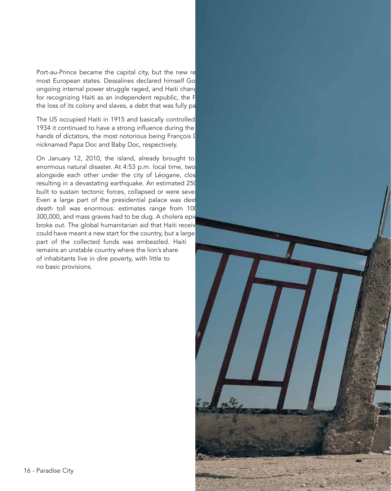Port-au-Prince became the capital city, but the new re most European states. Dessalines declared himself Go ongoing internal power struggle raged, and Haiti changed for recognizing Haiti as an independent republic, the F the loss of its colony and slaves, a debt that was fully pa

The US occupied Haiti in 1915 and basically controlled 1934 it continued to have a strong influence during the hands of dictators, the most notorious being François D nicknamed Papa Doc and Baby Doc, respectively.

On January 12, 2010, the island, already brought to enormous natural disaster. At 4:53 p.m. local time, two alongside each other under the city of Léogane, clos resulting in a devastating earthquake. An estimated 250 built to sustain tectonic forces, collapsed or were sevel Even a large part of the presidential palace was dest death toll was enormous: estimates range from 100 300,000, and mass graves had to be dug. A cholera epid broke out. The global humanitarian aid that Haiti receiv could have meant a new start for the country, but a large part of the collected funds was embezzled. Haiti remains an unstable country where the lion's share of inhabitants live in dire poverty, with little to no basic provisions.

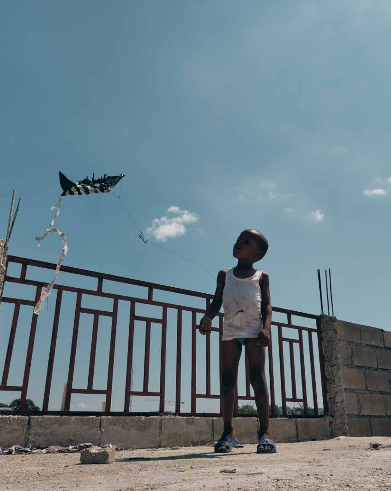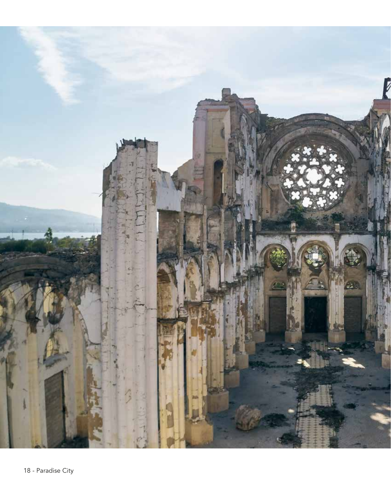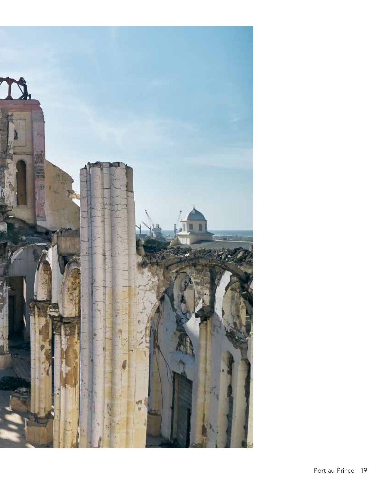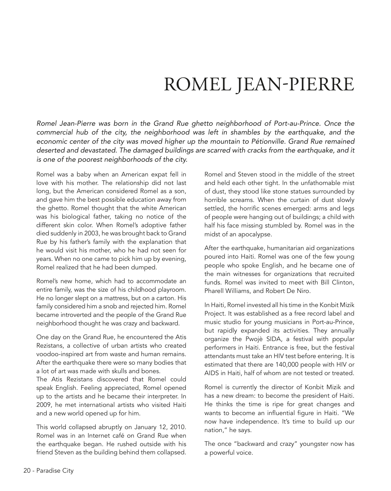#### ROMEL JEAN-PIERRE

*Romel Jean-Pierre was born in the Grand Rue ghetto neighborhood of Port-au-Prince. Once the commercial hub of the city, the neighborhood was left in shambles by the earthquake, and the*  economic center of the city was moved higher up the mountain to Pétionville. Grand Rue remained *deserted and devastated. The damaged buildings are scarred with cracks from the earthquake, and it is one of the poorest neighborhoods of the city.* 

Romel was a baby when an American expat fell in love with his mother. The relationship did not last long, but the American considered Romel as a son, and gave him the best possible education away from the ghetto. Romel thought that the white American was his biological father, taking no notice of the different skin color. When Romel's adoptive father died suddenly in 2003, he was brought back to Grand Rue by his father's family with the explanation that he would visit his mother, who he had not seen for years. When no one came to pick him up by evening, Romel realized that he had been dumped.

Romel's new home, which had to accommodate an entire family, was the size of his childhood playroom. He no longer slept on a mattress, but on a carton. His family considered him a snob and rejected him. Romel became introverted and the people of the Grand Rue neighborhood thought he was crazy and backward.

One day on the Grand Rue, he encountered the Atis Rezistans, a collective of urban artists who created voodoo-inspired art from waste and human remains. After the earthquake there were so many bodies that a lot of art was made with skulls and bones.

The Atis Rezistans discovered that Romel could speak English. Feeling appreciated, Romel opened up to the artists and he became their interpreter. In 2009, he met international artists who visited Haiti and a new world opened up for him.

This world collapsed abruptly on January 12, 2010. Romel was in an Internet café on Grand Rue when the earthquake began. He rushed outside with his friend Steven as the building behind them collapsed. Romel and Steven stood in the middle of the street and held each other tight. In the unfathomable mist of dust, they stood like stone statues surrounded by horrible screams. When the curtain of dust slowly settled, the horrific scenes emerged: arms and legs of people were hanging out of buildings; a child with half his face missing stumbled by. Romel was in the midst of an apocalypse.

After the earthquake, humanitarian aid organizations poured into Haiti. Romel was one of the few young people who spoke English, and he became one of the main witnesses for organizations that recruited funds. Romel was invited to meet with Bill Clinton, Pharell Williams, and Robert De Niro.

In Haiti, Romel invested all his time in the Konbit Mizik Project. It was established as a free record label and music studio for young musicians in Port-au-Prince, but rapidly expanded its activities. They annually organize the Pwojè SIDA, a festival with popular performers in Haiti. Entrance is free, but the festival attendants must take an HIV test before entering. It is estimated that there are 140,000 people with HIV or AIDS in Haiti, half of whom are not tested or treated.

Romel is currently the director of Konbit Mizik and has a new dream: to become the president of Haiti. He thinks the time is ripe for great changes and wants to become an influential figure in Haiti. "We now have independence. It's time to build up our nation," he says.

The once "backward and crazy" youngster now has a powerful voice.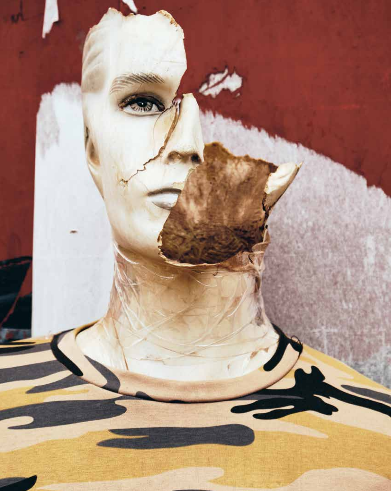